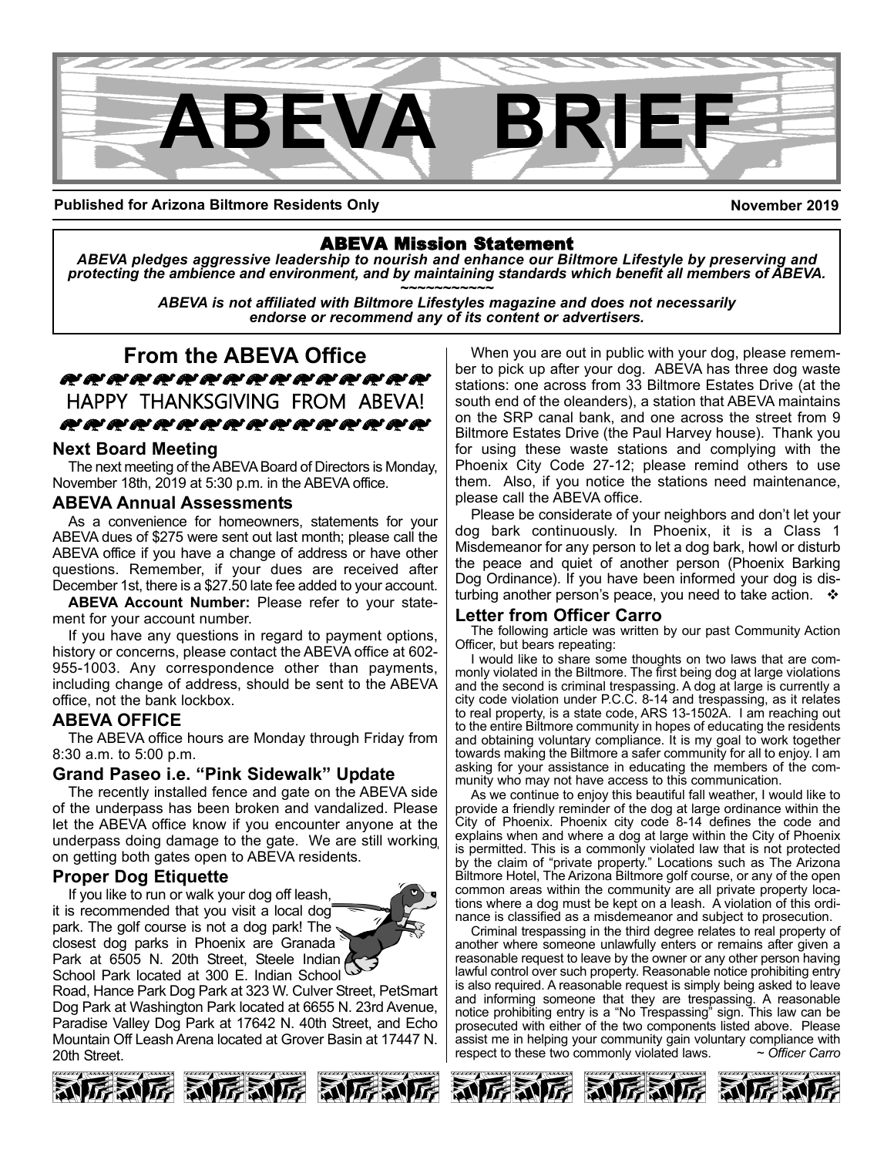

**Published for Arizona Biltmore Residents Only**

**November 2019**

ABEVA Mission Statement *ABEVA pledges aggressive leadership to nourish and enhance our Biltmore Lifestyle by preserving and* protecting the ambience and environment, and by maintaining standards which benefit all members of ABEVA.<br>ABEVA is not affiliated with Biltmore Lifestyles magazine and does not necessarily

*endorse or recommend any of its content or advertisers.*

**From the ABEVA Office** zzzzzzzzzzzzzzzz HAPPY THANKSGIVING FROM ABEVA! Szzzzzzzzzzzzzzzzzz

### **Next Board Meeting**

The next meeting of the ABEVA Board of Directors is Monday, November 18th, 2019 at 5:30 p.m. in the ABEVA office.

### **ABEVA Annual Assessments**

As a convenience for homeowners, statements for your ABEVA dues of \$275 were sent out last month; please call the ABEVA office if you have a change of address or have other questions. Remember, if your dues are received after December 1st, there is a \$27.50 late fee added to your account.

**ABEVA Account Number:** Please refer to your statement for your account number.

If you have any questions in regard to payment options, history or concerns, please contact the ABEVA office at 602- 955-1003. Any correspondence other than payments, including change of address, should be sent to the ABEVA office, not the bank lockbox.

### **ABEVA OFFICE**

The ABEVA office hours are Monday through Friday from 8:30 a.m. to 5:00 p.m.

### **Grand Paseo i.e. "Pink Sidewalk" Update**

The recently installed fence and gate on the ABEVA side of the underpass has been broken and vandalized. Please let the ABEVA office know if you encounter anyone at the underpass doing damage to the gate. We are still working on getting both gates open to ABEVA residents.

### **Proper Dog Etiquette**

If you like to run or walk your dog off leash, it is recommended that you visit a local dog park. The golf course is not a dog park! The closest dog parks in Phoenix are Granada Park at 6505 N. 20th Street, Steele Indian School Park located at 300 E. Indian School

Road, Hance Park Dog Park at 323 W. Culver Street, PetSmart Dog Park at Washington Park located at 6655 N. 23rd Avenue, Paradise Valley Dog Park at 17642 N. 40th Street, and Echo Mountain Off Leash Arena located at Grover Basin at 17447 N. 20th Street.



When you are out in public with your dog, please remember to pick up after your dog. ABEVA has three dog waste stations: one across from 33 Biltmore Estates Drive (at the south end of the oleanders), a station that ABEVA maintains on the SRP canal bank, and one across the street from 9 Biltmore Estates Drive (the Paul Harvey house). Thank you for using these waste stations and complying with the Phoenix City Code 27-12; please remind others to use them. Also, if you notice the stations need maintenance, please call the ABEVA office.

Please be considerate of your neighbors and don't let your dog bark continuously. In Phoenix, it is a Class 1 Misdemeanor for any person to let a dog bark, howl or disturb the peace and quiet of another person (Phoenix Barking Dog Ordinance). If you have been informed your dog is disturbing another person's peace, you need to take action.  $\cdot \cdot$ 

### **Letter from Officer Carro**

The following article was written by our past Community Action Officer, but bears repeating:

I would like to share some thoughts on two laws that are commonly violated in the Biltmore. The first being dog at large violations and the second is criminal trespassing. A dog at large is currently a city code violation under P.C.C. 8-14 and trespassing, as it relates to real property, is a state code, ARS 13-1502A. I am reaching out to the entire Biltmore community in hopes of educating the residents and obtaining voluntary compliance. It is my goal to work together towards making the Biltmore a safer community for all to enjoy. I am asking for your assistance in educating the members of the community who may not have access to this communication.

As we continue to enjoy this beautiful fall weather, I would like to provide a friendly reminder of the dog at large ordinance within the City of Phoenix. Phoenix city code 8-14 defines the code and explains when and where a dog at large within the City of Phoenix is permitted. This is a commonly violated law that is not protected by the claim of "private property." Locations such as The Arizona Biltmore Hotel, The Arizona Biltmore golf course, or any of the open common areas within the community are all private property locations where a dog must be kept on a leash. A violation of this ordinance is classified as a misdemeanor and subject to prosecution.

Criminal trespassing in the third degree relates to real property of another where someone unlawfully enters or remains after given a reasonable request to leave by the owner or any other person having lawful control over such property. Reasonable notice prohibiting entry is also required. A reasonable request is simply being asked to leave and informing someone that they are trespassing. A reasonable notice prohibiting entry is a "No Trespassing" sign. This law can be prosecuted with either of the two components listed above. Please assist me in helping your community gain voluntary compliance with respect to these two commonly violated laws. *~ Officer Carro*





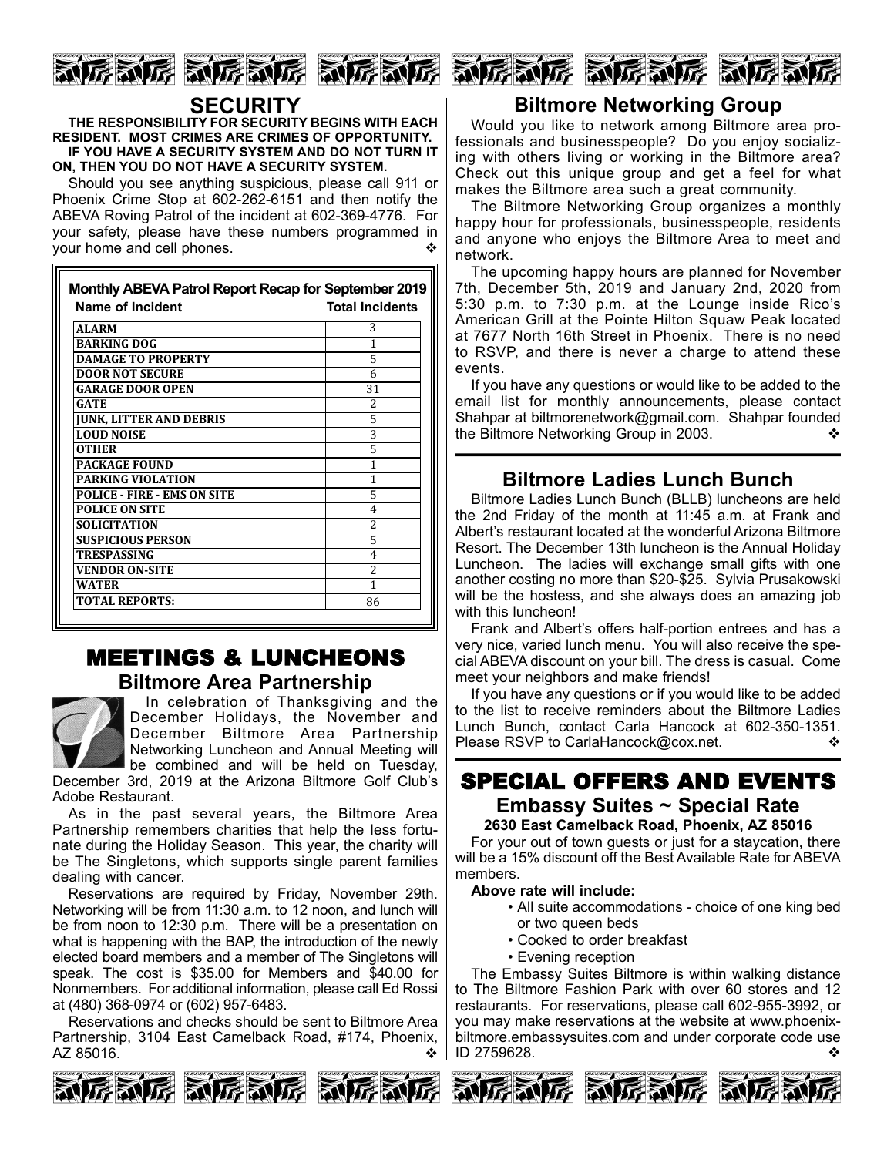





# **SECURITY**

**THE RESPONSIBILITY FOR SECURITY BEGINS WITH EACH RESIDENT. MOST CRIMES ARE CRIMES OF OPPORTUNITY. IF YOU HAVE A SECURITY SYSTEM AND DO NOT TURN IT ON, THEN YOU DO NOT HAVE A SECURITY SYSTEM.**

Should you see anything suspicious, please call 911 or Phoenix Crime Stop at 602-262-6151 and then notify the ABEVA Roving Patrol of the incident at 602-369-4776. For your safety, please have these numbers programmed in your home and cell phones.

| <b>Name of Incident</b>            | <b>Total Incidents</b>   |
|------------------------------------|--------------------------|
| <b>ALARM</b>                       | 3                        |
| <b>BARKING DOG</b>                 | 1                        |
| <b>DAMAGE TO PROPERTY</b>          | 5                        |
| <b>DOOR NOT SECURE</b>             | 6                        |
| <b>GARAGE DOOR OPEN</b>            | 31                       |
| <b>GATE</b>                        | 2                        |
| <b>JUNK, LITTER AND DEBRIS</b>     | 5                        |
| <b>LOUD NOISE</b>                  | 3                        |
| <b>OTHER</b>                       | 5                        |
| <b>PACKAGE FOUND</b>               | 1                        |
| <b>PARKING VIOLATION</b>           | 1                        |
| <b>POLICE - FIRE - EMS ON SITE</b> | 5                        |
| <b>POLICE ON SITE</b>              | 4                        |
| <b>SOLICITATION</b>                | $\overline{\mathcal{L}}$ |
| <b>SUSPICIOUS PERSON</b>           | 5                        |
| <b>TRESPASSING</b>                 | 4                        |
| <b>VENDOR ON-SITE</b>              | $\overline{\mathcal{L}}$ |
| <b>WATER</b>                       | 1                        |
| <b>TOTAL REPORTS:</b>              | 86                       |

# MEETINGS & LUNCHEONS **Biltmore Area Partnership**



In celebration of Thanksgiving and the December Holidays, the November and December Biltmore Area Partnership Networking Luncheon and Annual Meeting will be combined and will be held on Tuesday,

December 3rd, 2019 at the Arizona Biltmore Golf Club's Adobe Restaurant.

As in the past several years, the Biltmore Area Partnership remembers charities that help the less fortunate during the Holiday Season. This year, the charity will be The Singletons, which supports single parent families dealing with cancer.

Reservations are required by Friday, November 29th. Networking will be from 11:30 a.m. to 12 noon, and lunch will be from noon to 12:30 p.m. There will be a presentation on what is happening with the BAP, the introduction of the newly elected board members and a member of The Singletons will speak. The cost is \$35.00 for Members and \$40.00 for Nonmembers. For additional information, please call Ed Rossi at (480) 368-0974 or (602) 957-6483.

Reservations and checks should be sent to Biltmore Area Partnership, 3104 East Camelback Road, #174, Phoenix, AZ 85016.



# **Biltmore Networking Group**

Would you like to network among Biltmore area professionals and businesspeople? Do you enjoy socializing with others living or working in the Biltmore area? Check out this unique group and get a feel for what makes the Biltmore area such a great community.

The Biltmore Networking Group organizes a monthly happy hour for professionals, businesspeople, residents and anyone who enjoys the Biltmore Area to meet and network.

The upcoming happy hours are planned for November 7th, December 5th, 2019 and January 2nd, 2020 from 5:30 p.m. to 7:30 p.m. at the Lounge inside Rico's American Grill at the Pointe Hilton Squaw Peak located at 7677 North 16th Street in Phoenix. There is no need to RSVP, and there is never a charge to attend these events.

If you have any questions or would like to be added to the email list for monthly announcements, please contact Shahpar at biltmorenetwork@gmail.com. Shahpar founded the Biltmore Networking Group in 2003. ↓ ◆

# **Biltmore Ladies Lunch Bunch**

Biltmore Ladies Lunch Bunch (BLLB) luncheons are held the 2nd Friday of the month at 11:45 a.m. at Frank and Albert's restaurant located at the wonderful Arizona Biltmore Resort. The December 13th luncheon is the Annual Holiday Luncheon. The ladies will exchange small gifts with one another costing no more than \$20-\$25. Sylvia Prusakowski will be the hostess, and she always does an amazing job with this luncheon!

Frank and Albert's offers half-portion entrees and has a very nice, varied lunch menu. You will also receive the special ABEVA discount on your bill. The dress is casual. Come meet your neighbors and make friends!

If you have any questions or if you would like to be added to the list to receive reminders about the Biltmore Ladies Lunch Bunch, contact Carla Hancock at 602-350-1351. Please RSVP to CarlaHancock@cox.net. v  $\diamond$ 

### SPECIAL OFFERS AND EVENTS **Embassy Suites ~ Special Rate 2630 East Camelback Road, Phoenix, AZ 85016**

For your out of town guests or just for a staycation, there will be a 15% discount off the Best Available Rate for ABEVA members.

#### **Above rate will include:**

- All suite accommodations choice of one king bed or two queen beds
- Cooked to order breakfast
- Evening reception

The Embassy Suites Biltmore is within walking distance to The Biltmore Fashion Park with over 60 stores and 12 restaurants. For reservations, please call 602-955-3992, or you may make reservations at the website at www.phoenixbiltmore.embassysuites.com and under corporate code use ID 2759628.





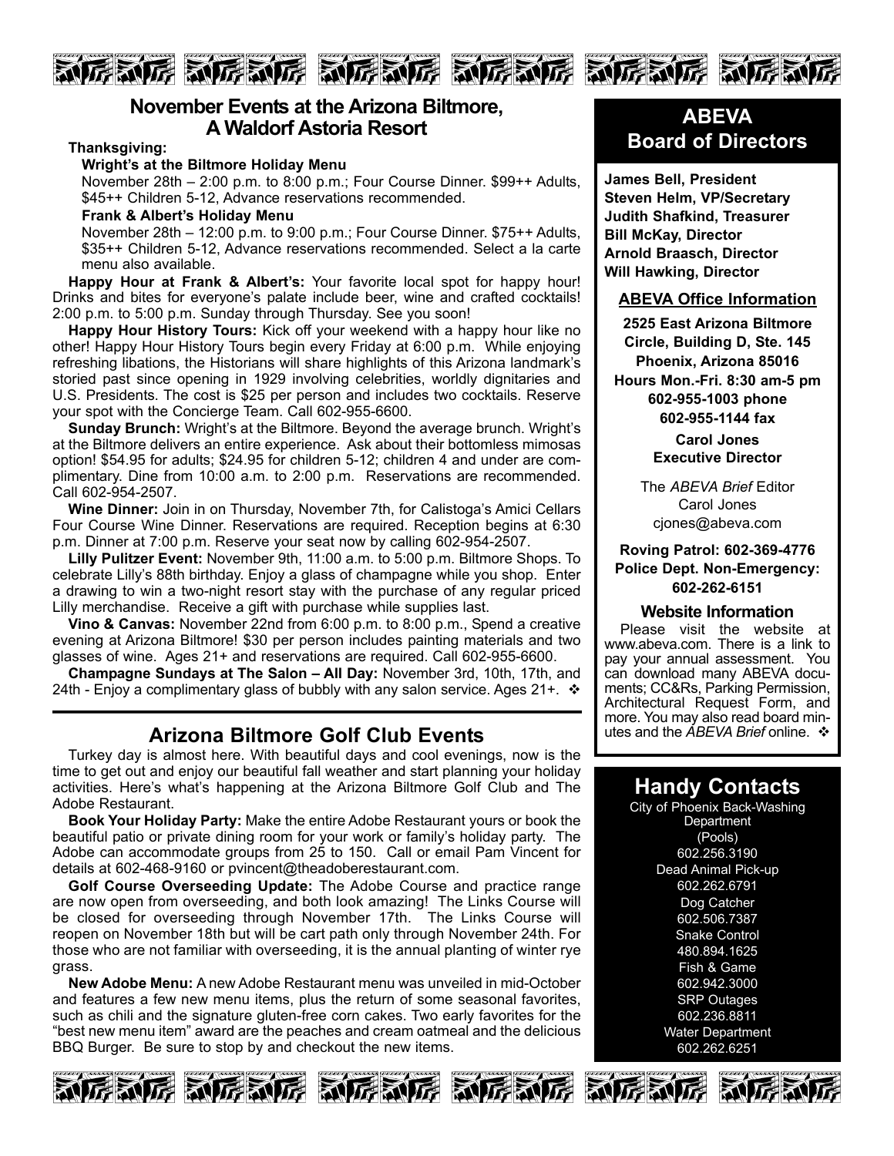

### **November Events at the Arizona Biltmore, A Waldorf Astoria Resort**

**Thanksgiving:**

#### **Wright's at the Biltmore Holiday Menu**

November 28th – 2:00 p.m. to 8:00 p.m.; Four Course Dinner. \$99++ Adults, \$45++ Children 5-12, Advance reservations recommended.

**Frank & Albert's Holiday Menu**

November 28th – 12:00 p.m. to 9:00 p.m.; Four Course Dinner. \$75++ Adults, \$35++ Children 5-12, Advance reservations recommended. Select a la carte menu also available.

**Happy Hour at Frank & Albert's:** Your favorite local spot for happy hour! Drinks and bites for everyone's palate include beer, wine and crafted cocktails! 2:00 p.m. to 5:00 p.m. Sunday through Thursday. See you soon!

**Happy Hour History Tours:** Kick off your weekend with a happy hour like no other! Happy Hour History Tours begin every Friday at 6:00 p.m. While enjoying refreshing libations, the Historians will share highlights of this Arizona landmark's storied past since opening in 1929 involving celebrities, worldly dignitaries and U.S. Presidents. The cost is \$25 per person and includes two cocktails. Reserve your spot with the Concierge Team. Call 602-955-6600.

**Sunday Brunch:** Wright's at the Biltmore. Beyond the average brunch. Wright's at the Biltmore delivers an entire experience. Ask about their bottomless mimosas option! \$54.95 for adults; \$24.95 for children 5-12; children 4 and under are complimentary. Dine from 10:00 a.m. to 2:00 p.m. Reservations are recommended. Call 602-954-2507.

**Wine Dinner:** Join in on Thursday, November 7th, for Calistoga's Amici Cellars Four Course Wine Dinner. Reservations are required. Reception begins at 6:30 p.m. Dinner at 7:00 p.m. Reserve your seat now by calling 602-954-2507.

**Lilly Pulitzer Event:** November 9th, 11:00 a.m. to 5:00 p.m. Biltmore Shops. To celebrate Lilly's 88th birthday. Enjoy a glass of champagne while you shop. Enter a drawing to win a two-night resort stay with the purchase of any regular priced Lilly merchandise. Receive a gift with purchase while supplies last.

**Vino & Canvas:** November 22nd from 6:00 p.m. to 8:00 p.m., Spend a creative evening at Arizona Biltmore! \$30 per person includes painting materials and two glasses of wine. Ages 21+ and reservations are required. Call 602-955-6600.

**Champagne Sundays at The Salon – All Day:** November 3rd, 10th, 17th, and 24th - Enjoy a complimentary glass of bubbly with any salon service. Ages 21+.  $\cdot \cdot$ 

# **Arizona Biltmore Golf Club Events**

Turkey day is almost here. With beautiful days and cool evenings, now is the time to get out and enjoy our beautiful fall weather and start planning your holiday activities. Here's what's happening at the Arizona Biltmore Golf Club and The Adobe Restaurant.

**Book Your Holiday Party:** Make the entire Adobe Restaurant yours or book the beautiful patio or private dining room for your work or family's holiday party. The Adobe can accommodate groups from 25 to 150. Call or email Pam Vincent for details at 602-468-9160 or pvincent@theadoberestaurant.com.

**Golf Course Overseeding Update:** The Adobe Course and practice range are now open from overseeding, and both look amazing! The Links Course will be closed for overseeding through November 17th. The Links Course will reopen on November 18th but will be cart path only through November 24th. For those who are not familiar with overseeding, it is the annual planting of winter rye grass.

**New Adobe Menu:** A new Adobe Restaurant menu was unveiled in mid-October and features a few new menu items, plus the return of some seasonal favorites, such as chili and the signature gluten-free corn cakes. Two early favorites for the "best new menu item" award are the peaches and cream oatmeal and the delicious BBQ Burger. Be sure to stop by and checkout the new items.

**ABEVA Board of Directors**

**James Bell, President Steven Helm, VP/Secretary Judith Shafkind, Treasurer Bill McKay, Director Arnold Braasch, Director Will Hawking, Director**

#### **ABEVA Office Information**

**2525 East Arizona Biltmore Circle, Building D, Ste. 145 Phoenix, Arizona 85016 Hours Mon.-Fri. 8:30 am-5 pm 602-955-1003 phone 602-955-1144 fax**

> **Carol Jones Executive Director**

The *ABEVA Brief* Editor Carol Jones cjones@abeva.com

**Roving Patrol: 602-369-4776 Police Dept. Non-Emergency: 602-262-6151**

#### **Website Information**

Please visit the website at www.abeva.com. There is a link to pay your annual assessment. You can download many ABEVA documents; CC&Rs, Parking Permission, Architectural Request Form, and more. You may also read board minutes and the *ABEVA Brief* online. ❖

# **Handy Contacts**

City of Phoenix Back-Washing **Department** (Pools) 602.256.3190 Dead Animal Pick-up 602.262.6791 Dog Catcher 602.506.7387 Snake Control 480.894.1625 Fish & Game 602.942.3000 SRP Outages 602.236.8811 Water Department 602.262.6251